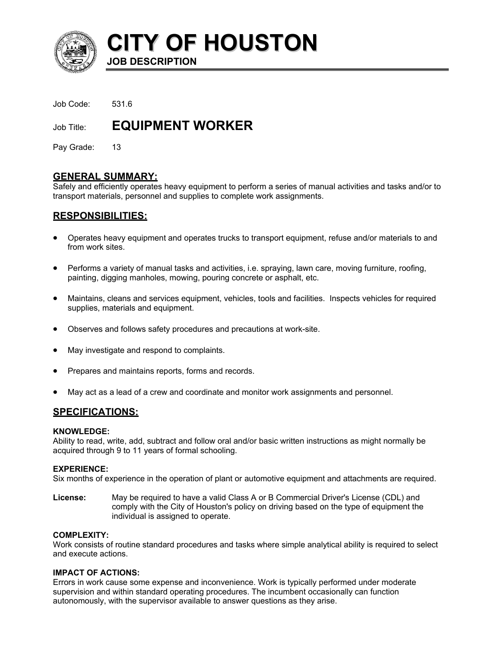

**CITY OF HOUSTON JOB DESCRIPTION** 

Job Code: 531.6

Job Title: **EQUIPMENT WORKER** 

Pay Grade: 13

### **GENERAL SUMMARY:**

Safely and efficiently operates heavy equipment to perform a series of manual activities and tasks and/or to transport materials, personnel and supplies to complete work assignments.

# **RESPONSIBILITIES:**

- Operates heavy equipment and operates trucks to transport equipment, refuse and/or materials to and from work sites.
- Performs a variety of manual tasks and activities, i.e. spraying, lawn care, moving furniture, roofing, painting, digging manholes, mowing, pouring concrete or asphalt, etc.
- Maintains, cleans and services equipment, vehicles, tools and facilities. Inspects vehicles for required supplies, materials and equipment.
- Observes and follows safety procedures and precautions at work-site.
- May investigate and respond to complaints.
- Prepares and maintains reports, forms and records.
- May act as a lead of a crew and coordinate and monitor work assignments and personnel.

## **SPECIFICATIONS:**

### **KNOWLEDGE:**

Ability to read, write, add, subtract and follow oral and/or basic written instructions as might normally be acquired through 9 to 11 years of formal schooling.

### **EXPERIENCE:**

Six months of experience in the operation of plant or automotive equipment and attachments are required.

**License:** May be required to have a valid Class A or B Commercial Driver's License (CDL) and comply with the City of Houston's policy on driving based on the type of equipment the individual is assigned to operate.

### **COMPLEXITY:**

Work consists of routine standard procedures and tasks where simple analytical ability is required to select and execute actions.

### **IMPACT OF ACTIONS:**

Errors in work cause some expense and inconvenience. Work is typically performed under moderate supervision and within standard operating procedures. The incumbent occasionally can function autonomously, with the supervisor available to answer questions as they arise.